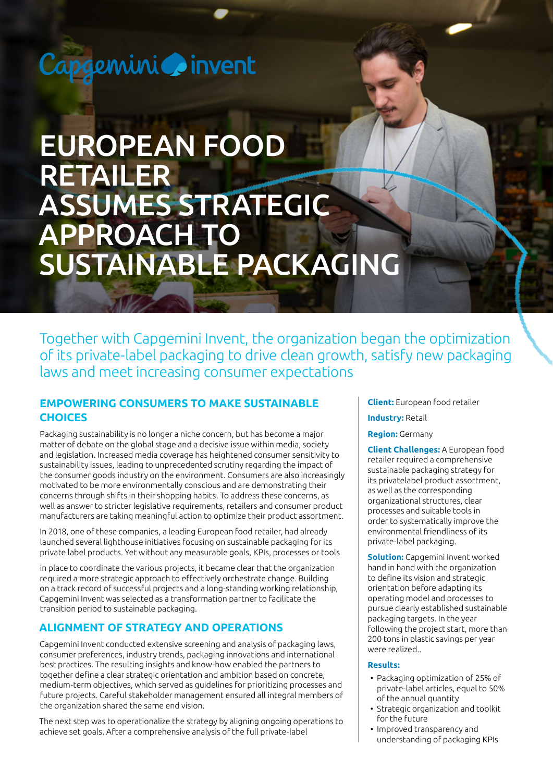# Capgemini oinvent

# EUROPEAN FOOD RETAILER ASSUMES STRATEGIC APPROACH TO SUSTAINABLE PACKAGING

Together with Capgemini Invent, the organization began the optimization of its private-label packaging to drive clean growth, satisfy new packaging laws and meet increasing consumer expectations

## **EMPOWERING CONSUMERS TO MAKE SUSTAINABLE CHOICES**

Packaging sustainability is no longer a niche concern, but has become a major matter of debate on the global stage and a decisive issue within media, society and legislation. Increased media coverage has heightened consumer sensitivity to sustainability issues, leading to unprecedented scrutiny regarding the impact of the consumer goods industry on the environment. Consumers are also increasingly motivated to be more environmentally conscious and are demonstrating their concerns through shifts in their shopping habits. To address these concerns, as well as answer to stricter legislative requirements, retailers and consumer product manufacturers are taking meaningful action to optimize their product assortment.

In 2018, one of these companies, a leading European food retailer, had already launched several lighthouse initiatives focusing on sustainable packaging for its private label products. Yet without any measurable goals, KPIs, processes or tools

in place to coordinate the various projects, it became clear that the organization required a more strategic approach to effectively orchestrate change. Building on a track record of successful projects and a long-standing working relationship, Capgemini Invent was selected as a transformation partner to facilitate the transition period to sustainable packaging.

## **ALIGNMENT OF STRATEGY AND OPERATIONS**

Capgemini Invent conducted extensive screening and analysis of packaging laws, consumer preferences, industry trends, packaging innovations and international best practices. The resulting insights and know-how enabled the partners to together define a clear strategic orientation and ambition based on concrete, medium-term objectives, which served as guidelines for prioritizing processes and future projects. Careful stakeholder management ensured all integral members of the organization shared the same end vision.

The next step was to operationalize the strategy by aligning ongoing operations to achieve set goals. After a comprehensive analysis of the full private-label

**Client:** European food retailer

#### **Industry:** Retail

#### **Region:** Germany

**Client Challenges:** A European food retailer required a comprehensive sustainable packaging strategy for its privatelabel product assortment, as well as the corresponding organizational structures, clear processes and suitable tools in order to systematically improve the environmental friendliness of its private-label packaging.

**Solution:** Capgemini Invent worked hand in hand with the organization to define its vision and strategic orientation before adapting its operating model and processes to pursue clearly established sustainable packaging targets. In the year following the project start, more than 200 tons in plastic savings per year were realized..

#### **Results:**

- Packaging optimization of 25% of private-label articles, equal to 50% of the annual quantity
- Strategic organization and toolkit for the future
- Improved transparency and understanding of packaging KPIs